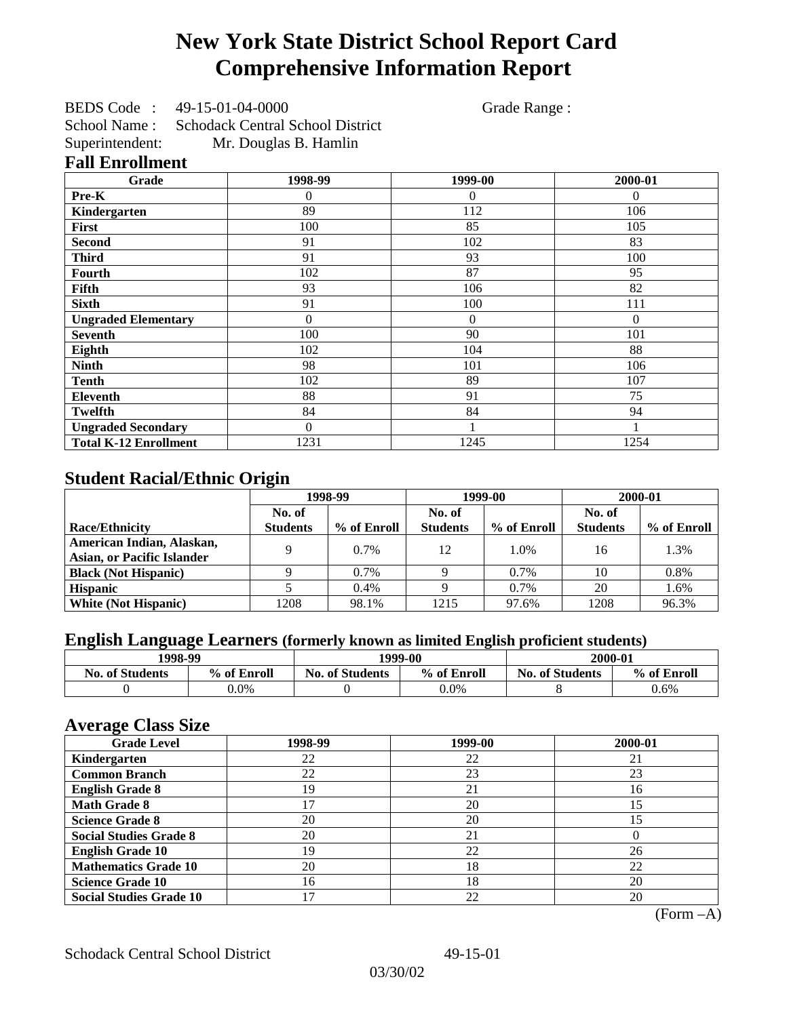# **New York State District School Report Card Comprehensive Information Report**

BEDS Code : 49-15-01-04-0000 Grade Range : School Name : Schodack Central School District Superintendent: Mr. Douglas B. Hamlin

### **Fall Enrollment**

| Grade                        | 1998-99  | 1999-00  | 2000-01  |
|------------------------------|----------|----------|----------|
| Pre-K                        | $\Omega$ | $\theta$ | $\Omega$ |
| Kindergarten                 | 89       | 112      | 106      |
| First                        | 100      | 85       | 105      |
| <b>Second</b>                | 91       | 102      | 83       |
| <b>Third</b>                 | 91       | 93       | 100      |
| Fourth                       | 102      | 87       | 95       |
| Fifth                        | 93       | 106      | 82       |
| <b>Sixth</b>                 | 91       | 100      | 111      |
| <b>Ungraded Elementary</b>   | $\Omega$ | $\theta$ | $\theta$ |
| <b>Seventh</b>               | 100      | 90       | 101      |
| Eighth                       | 102      | 104      | 88       |
| <b>Ninth</b>                 | 98       | 101      | 106      |
| <b>Tenth</b>                 | 102      | 89       | 107      |
| <b>Eleventh</b>              | 88       | 91       | 75       |
| <b>Twelfth</b>               | 84       | 84       | 94       |
| <b>Ungraded Secondary</b>    | $\Omega$ |          |          |
| <b>Total K-12 Enrollment</b> | 1231     | 1245     | 1254     |

## **Student Racial/Ethnic Origin**

|                                   | 1998-99         |             |                 | 1999-00     | 2000-01         |             |
|-----------------------------------|-----------------|-------------|-----------------|-------------|-----------------|-------------|
|                                   | No. of          |             | No. of          |             | No. of          |             |
| <b>Race/Ethnicity</b>             | <b>Students</b> | % of Enroll | <b>Students</b> | % of Enroll | <b>Students</b> | % of Enroll |
| American Indian, Alaskan,         | Q               | $0.7\%$     | 12              | 1.0%        | 16              | 1.3%        |
| <b>Asian, or Pacific Islander</b> |                 |             |                 |             |                 |             |
| <b>Black (Not Hispanic)</b>       |                 | 0.7%        |                 | 0.7%        | 10              | 0.8%        |
| <b>Hispanic</b>                   |                 | 0.4%        |                 | $0.7\%$     | 20              | 1.6%        |
| <b>White (Not Hispanic)</b>       | 1208            | 98.1%       | 1215            | 97.6%       | 1208            | 96.3%       |

## **English Language Learners (formerly known as limited English proficient students)**

| 1998-99                |             |                        | 1999-00     | 2000-01                |             |
|------------------------|-------------|------------------------|-------------|------------------------|-------------|
| <b>No. of Students</b> | % of Enroll | <b>No. of Students</b> | % of Enroll | <b>No. of Students</b> | % of Enroll |
|                        | $0.0\%$     |                        | $0.0\%$     |                        | 0.6%        |

### **Average Class Size**

| o<br><b>Grade Level</b>        | 1998-99 | 1999-00 | 2000-01 |
|--------------------------------|---------|---------|---------|
| Kindergarten                   | 22      | 22      | 21      |
| <b>Common Branch</b>           | 22      | 23      | 23      |
| <b>English Grade 8</b>         | 19      | 21      | 16      |
| <b>Math Grade 8</b>            |         | 20      | 15      |
| <b>Science Grade 8</b>         | 20      | 20      | 15      |
| <b>Social Studies Grade 8</b>  | 20      | 21      |         |
| <b>English Grade 10</b>        | 19      | 22      | 26      |
| <b>Mathematics Grade 10</b>    | 20      | 18      | 22      |
| <b>Science Grade 10</b>        | 16      | 18      | 20      |
| <b>Social Studies Grade 10</b> |         | 22      | 20      |

(Form –A)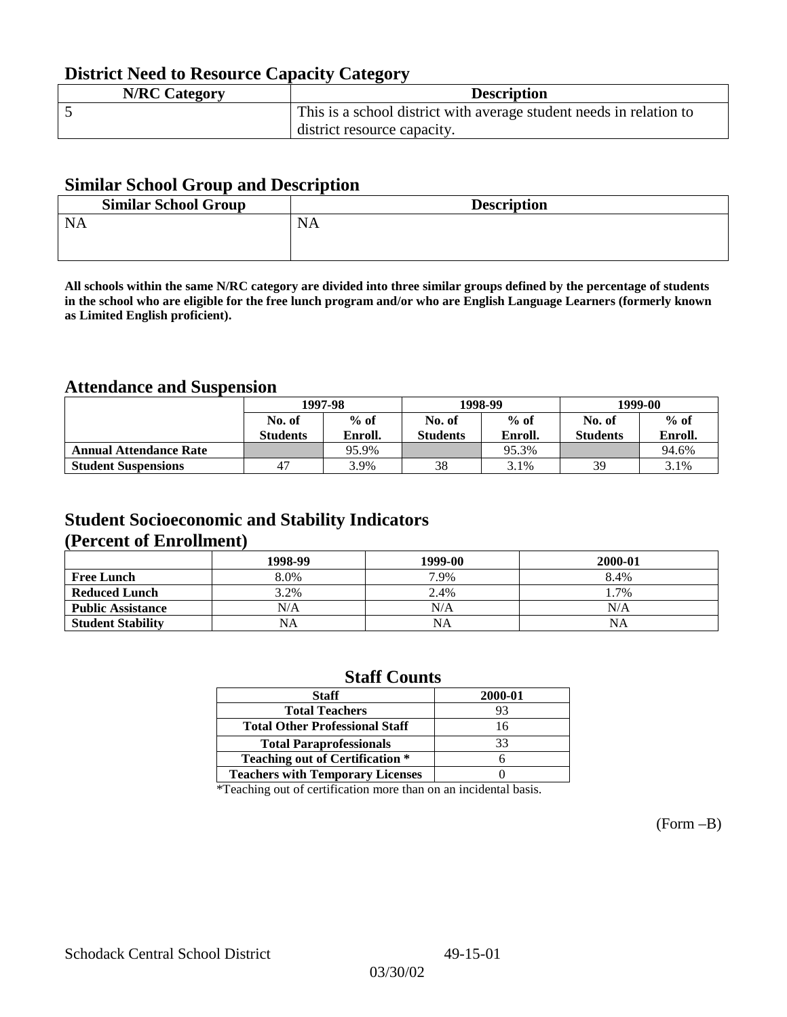## **District Need to Resource Capacity Category**

| <b>N/RC Category</b> | <b>Description</b>                                                  |
|----------------------|---------------------------------------------------------------------|
|                      | This is a school district with average student needs in relation to |
|                      | district resource capacity.                                         |

### **Similar School Group and Description**

| <b>Similar School Group</b> | <b>Description</b> |
|-----------------------------|--------------------|
| <b>NA</b>                   | <b>NA</b>          |
|                             |                    |

**All schools within the same N/RC category are divided into three similar groups defined by the percentage of students in the school who are eligible for the free lunch program and/or who are English Language Learners (formerly known as Limited English proficient).**

## **Attendance and Suspension**

|                               | 1997-98          |         |                  | 1998-99 | 1999-00         |         |
|-------------------------------|------------------|---------|------------------|---------|-----------------|---------|
|                               | $%$ of<br>No. of |         | $%$ of<br>No. of |         | No. of          | $%$ of  |
|                               | <b>Students</b>  | Enroll. | <b>Students</b>  | Enroll. | <b>Students</b> | Enroll. |
| <b>Annual Attendance Rate</b> |                  | 95.9%   |                  | 95.3%   |                 | 94.6%   |
| <b>Student Suspensions</b>    | 47               | 3.9%    | 38               | 3.1%    | 39              | 3.1%    |

### **Student Socioeconomic and Stability Indicators (Percent of Enrollment)**

|                          | 1998-99 | 1999-00   | 2000-01 |
|--------------------------|---------|-----------|---------|
| <b>Free Lunch</b>        | 8.0%    | 7.9%      | 8.4%    |
| <b>Reduced Lunch</b>     | 3.2%    | 2.4%      | 1.7%    |
| <b>Public Assistance</b> | N/A     | N/A       | N/A     |
| <b>Student Stability</b> | NA      | <b>NA</b> | NA      |

### **Staff Counts**

| 2000-01 |
|---------|
| 93      |
| 16      |
| 33      |
|         |
|         |
|         |

\*Teaching out of certification more than on an incidental basis.

(Form –B)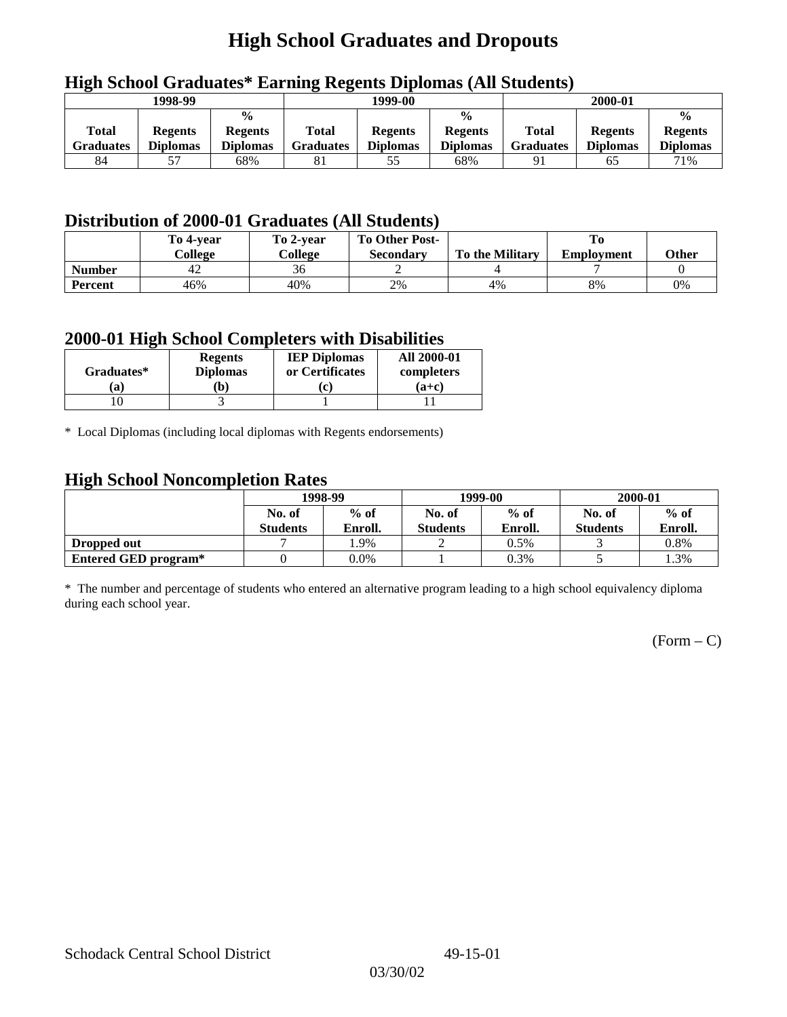# **High School Graduates and Dropouts**

|                  | --------------  |                 |                  |                 |                 |                  |                 |                 |
|------------------|-----------------|-----------------|------------------|-----------------|-----------------|------------------|-----------------|-----------------|
|                  | 1998-99         |                 | 1999-00          |                 |                 | 2000-01          |                 |                 |
|                  |                 | $\frac{0}{0}$   | $\frac{0}{0}$    |                 |                 |                  |                 | $\frac{0}{0}$   |
| Total            | <b>Regents</b>  | <b>Regents</b>  | Total            | <b>Regents</b>  | <b>Regents</b>  | Total            | <b>Regents</b>  | <b>Regents</b>  |
| <b>Graduates</b> | <b>Diplomas</b> | <b>Diplomas</b> | <b>Graduates</b> | <b>Diplomas</b> | <b>Diplomas</b> | <b>Graduates</b> | <b>Diplomas</b> | <b>Diplomas</b> |
| 84               |                 | 68%             | 81               | 55              | 68%             |                  | 65              | 71%             |

## **High School Graduates\* Earning Regents Diplomas (All Students)**

## **Distribution of 2000-01 Graduates (All Students)**

|                | To 4-vear | To 2-year | <b>To Other Post-</b> |                        |                   |       |
|----------------|-----------|-----------|-----------------------|------------------------|-------------------|-------|
|                | College   | College   | <b>Secondary</b>      | <b>To the Military</b> | <b>Employment</b> | Other |
| <b>Number</b>  | 42        | 36        |                       |                        |                   |       |
| <b>Percent</b> | 46%       | 40%       | 2%                    | 4%                     | 8%                | 0%    |

### **2000-01 High School Completers with Disabilities**

| Graduates* | <b>Regents</b><br><b>Diplomas</b> | <b>IEP Diplomas</b><br>or Certificates | <b>All 2000-01</b><br>completers |  |
|------------|-----------------------------------|----------------------------------------|----------------------------------|--|
| 'a         | b)                                |                                        | $(a+c)$                          |  |
|            |                                   |                                        |                                  |  |

\* Local Diplomas (including local diplomas with Regents endorsements)

### **High School Noncompletion Rates**

| ຼ                    | 1998-99         |         |                 | 1999-00 | 2000-01         |         |
|----------------------|-----------------|---------|-----------------|---------|-----------------|---------|
|                      | No. of          | $%$ of  | No. of          | $%$ of  | No. of          | $%$ of  |
|                      | <b>Students</b> | Enroll. | <b>Students</b> | Enroll. | <b>Students</b> | Enroll. |
| Dropped out          |                 | .9%     |                 | 0.5%    |                 | 0.8%    |
| Entered GED program* |                 | 0.0%    |                 | 0.3%    |                 | 1.3%    |

\* The number and percentage of students who entered an alternative program leading to a high school equivalency diploma during each school year.

 $(Form - C)$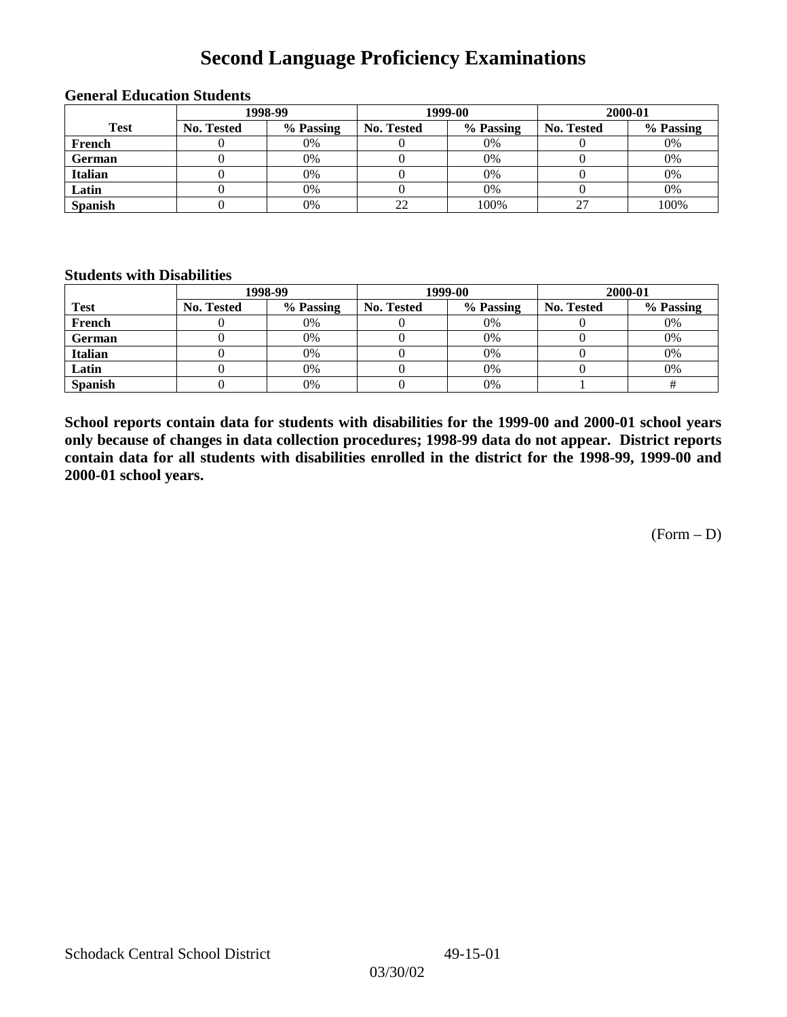# **Second Language Proficiency Examinations**

|                | 1998-99    |           |                   | 1999-00   | 2000-01    |           |  |
|----------------|------------|-----------|-------------------|-----------|------------|-----------|--|
| <b>Test</b>    | No. Tested | % Passing | <b>No. Tested</b> | % Passing | No. Tested | % Passing |  |
| French         |            | 0%        |                   | $0\%$     |            | 0%        |  |
| <b>German</b>  |            | 0%        |                   | 0%        |            | 0%        |  |
| <b>Italian</b> |            | 0%        |                   | 0%        |            | 0%        |  |
| Latin          |            | 0%        |                   | 0%        |            | 0%        |  |
| <b>Spanish</b> |            | 0%        | 22                | 100%      |            | 100%      |  |

### **General Education Students**

#### **Students with Disabilities**

|                | 1998-99    |           |                   | 1999-00   | 2000-01    |           |  |
|----------------|------------|-----------|-------------------|-----------|------------|-----------|--|
| <b>Test</b>    | No. Tested | % Passing | <b>No. Tested</b> | % Passing | No. Tested | % Passing |  |
| French         |            | 0%        |                   | 0%        |            | 0%        |  |
| <b>German</b>  |            | 0%        |                   | $0\%$     |            | 0%        |  |
| Italian        |            | 0%        |                   | 0%        |            | 0%        |  |
| Latin          |            | 0%        |                   | $0\%$     |            | 0%        |  |
| <b>Spanish</b> |            | 0%        |                   | 0%        |            |           |  |

**School reports contain data for students with disabilities for the 1999-00 and 2000-01 school years only because of changes in data collection procedures; 1998-99 data do not appear. District reports contain data for all students with disabilities enrolled in the district for the 1998-99, 1999-00 and 2000-01 school years.**

(Form – D)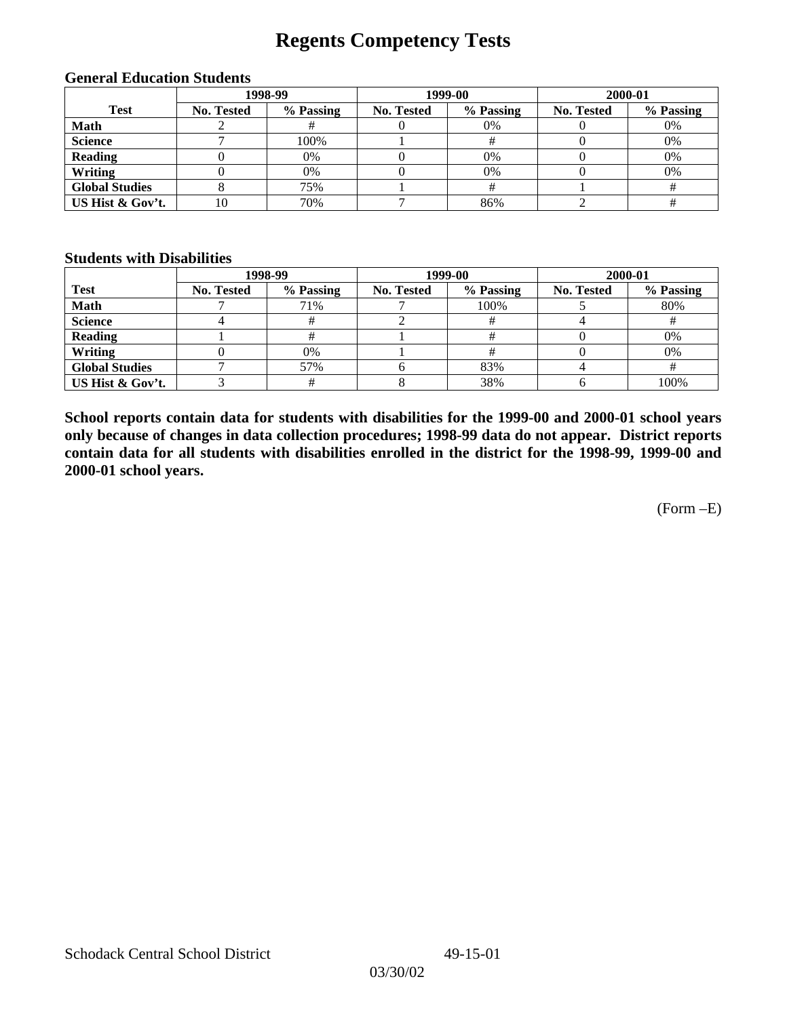## **Regents Competency Tests**

|                       | 1998-99    |           |            | 1999-00   | 2000-01    |           |  |
|-----------------------|------------|-----------|------------|-----------|------------|-----------|--|
| <b>Test</b>           | No. Tested | % Passing | No. Tested | % Passing | No. Tested | % Passing |  |
| <b>Math</b>           |            |           |            | 0%        |            | 0%        |  |
| <b>Science</b>        |            | 100%      |            |           |            | 0%        |  |
| <b>Reading</b>        |            | 0%        |            | 0%        |            | 0%        |  |
| Writing               |            | 0%        |            | 0%        |            | 0%        |  |
| <b>Global Studies</b> |            | 75%       |            |           |            |           |  |
| US Hist & Gov't.      | 10         | 70%       |            | 86%       |            |           |  |

#### **General Education Students**

#### **Students with Disabilities**

|                       |                   | 1998-99   | 1999-00    |           | 2000-01           |           |
|-----------------------|-------------------|-----------|------------|-----------|-------------------|-----------|
| <b>Test</b>           | <b>No. Tested</b> | % Passing | No. Tested | % Passing | <b>No. Tested</b> | % Passing |
| <b>Math</b>           |                   | 71%       |            | 100%      |                   | 80%       |
| <b>Science</b>        |                   |           |            |           |                   |           |
| <b>Reading</b>        |                   | #         |            |           |                   | 0%        |
| Writing               |                   | $0\%$     |            |           |                   | 0%        |
| <b>Global Studies</b> |                   | 57%       |            | 83%       |                   |           |
| US Hist & Gov't.      |                   |           |            | 38%       |                   | 100%      |

**School reports contain data for students with disabilities for the 1999-00 and 2000-01 school years only because of changes in data collection procedures; 1998-99 data do not appear. District reports contain data for all students with disabilities enrolled in the district for the 1998-99, 1999-00 and 2000-01 school years.**

(Form –E)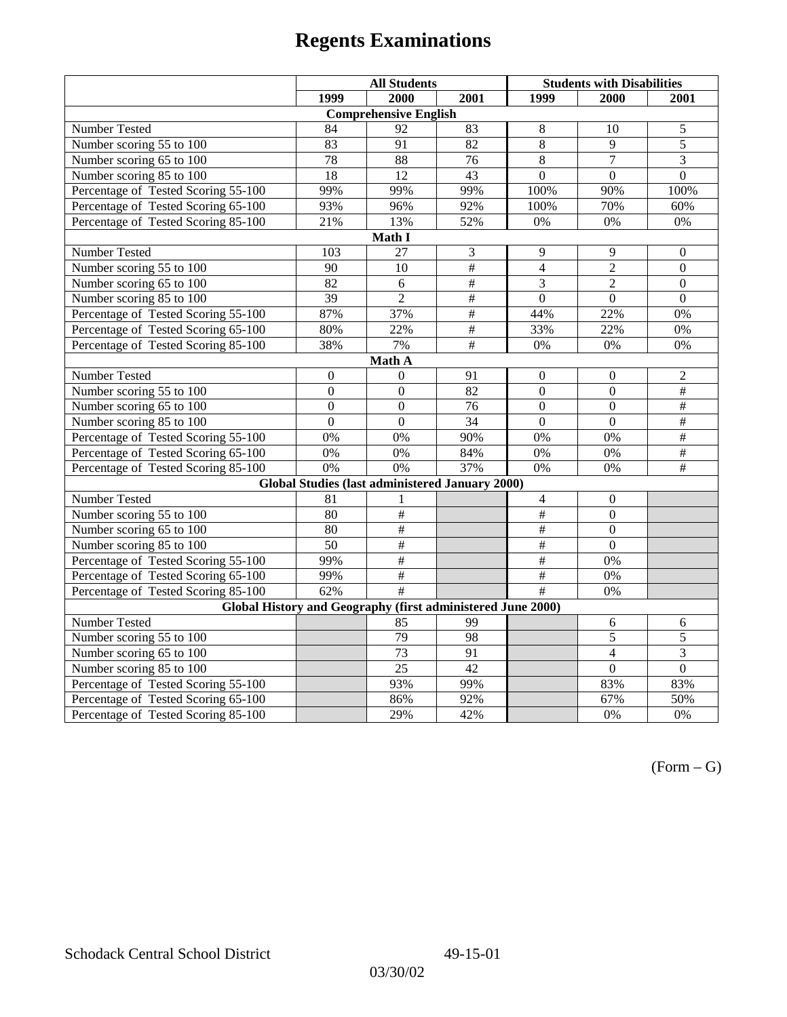|                                                                                | <b>All Students</b> |                                                        |                 | <b>Students with Disabilities</b> |                  |                          |  |  |
|--------------------------------------------------------------------------------|---------------------|--------------------------------------------------------|-----------------|-----------------------------------|------------------|--------------------------|--|--|
|                                                                                | 1999                | 2000                                                   | 2001            | 1999                              | 2000             | 2001                     |  |  |
|                                                                                |                     | <b>Comprehensive English</b>                           |                 |                                   |                  |                          |  |  |
| Number Tested                                                                  | 84                  | 92                                                     | 83              | $\,8\,$                           | 10               | 5                        |  |  |
| Number scoring 55 to 100                                                       | 83                  | 91                                                     | 82              | $\overline{8}$                    | 9                | 5                        |  |  |
| Number scoring 65 to 100                                                       | 78                  | 88                                                     | 76              | 8                                 | 7                | 3                        |  |  |
| Number scoring 85 to 100                                                       | 18                  | 12                                                     | 43              | $\overline{0}$                    | $\overline{0}$   | $\overline{0}$           |  |  |
| Percentage of Tested Scoring 55-100                                            | 99%                 | 99%                                                    | 99%             | 100%                              | 90%              | 100%                     |  |  |
| Percentage of Tested Scoring 65-100                                            | 93%                 | 96%                                                    | 92%             | 100%                              | 70%              | 60%                      |  |  |
| Percentage of Tested Scoring 85-100                                            | 21%                 | 13%                                                    | 52%             | $0\%$                             | 0%               | $0\%$                    |  |  |
|                                                                                |                     | Math I                                                 |                 |                                   |                  |                          |  |  |
| Number Tested<br>$\mathfrak{Z}$<br>9<br>9<br>103<br>$27\,$<br>$\boldsymbol{0}$ |                     |                                                        |                 |                                   |                  |                          |  |  |
| Number scoring 55 to 100                                                       | 90                  | 10                                                     | #               | $\overline{4}$                    | $\overline{2}$   | $\boldsymbol{0}$         |  |  |
| Number scoring 65 to 100                                                       | 82                  | 6                                                      | $\frac{1}{2}$   | 3                                 | $\overline{c}$   | $\boldsymbol{0}$         |  |  |
| Number scoring 85 to 100                                                       | $\overline{39}$     | $\overline{2}$                                         | #               | $\overline{0}$                    | $\overline{0}$   | $\overline{0}$           |  |  |
| Percentage of Tested Scoring 55-100                                            | 87%                 | 37%                                                    | #               | 44%                               | 22%              | 0%                       |  |  |
| Percentage of Tested Scoring 65-100                                            | 80%                 | 22%                                                    | $\overline{\#}$ | 33%                               | 22%              | 0%                       |  |  |
| Percentage of Tested Scoring 85-100                                            | 38%                 | 7%                                                     | $\#$            | 0%                                | 0%               | 0%                       |  |  |
| Math A                                                                         |                     |                                                        |                 |                                   |                  |                          |  |  |
| Number Tested                                                                  | $\boldsymbol{0}$    | $\mathbf{0}$                                           | 91              | $\boldsymbol{0}$                  | $\boldsymbol{0}$ | $\overline{2}$           |  |  |
| Number scoring 55 to 100                                                       | $\overline{0}$      | $\overline{0}$                                         | $\overline{82}$ | $\overline{0}$                    | $\overline{0}$   | $\overline{+}$           |  |  |
| Number scoring 65 to 100                                                       | $\mathbf{0}$        | $\mathbf{0}$                                           | 76              | $\boldsymbol{0}$                  | $\boldsymbol{0}$ | #                        |  |  |
| Number scoring 85 to 100                                                       | $\overline{0}$      | $\overline{0}$                                         | 34              | $\mathbf{0}$                      | $\mathbf{0}$     | $\overline{\overline{}}$ |  |  |
| Percentage of Tested Scoring 55-100                                            | 0%                  | 0%                                                     | 90%             | 0%                                | 0%               | #                        |  |  |
| Percentage of Tested Scoring 65-100                                            | 0%                  | 0%                                                     | 84%             | 0%                                | 0%               | $\overline{\#}$          |  |  |
| Percentage of Tested Scoring 85-100                                            | 0%                  | 0%                                                     | 37%             | 0%                                | 0%               | $\overline{+}$           |  |  |
|                                                                                |                     | <b>Global Studies (last administered January 2000)</b> |                 |                                   |                  |                          |  |  |
| <b>Number Tested</b>                                                           | 81                  | 1                                                      |                 | $\overline{4}$                    | $\mathbf{0}$     |                          |  |  |
| Number scoring 55 to 100                                                       | 80                  | $\overline{\#}$                                        |                 | $\overline{\#}$                   | $\mathbf{0}$     |                          |  |  |
| Number scoring 65 to 100                                                       | 80                  | $\frac{1}{2}$                                          |                 | $\#$                              | $\mathbf{0}$     |                          |  |  |
| Number scoring 85 to 100                                                       | $\overline{50}$     | $\#$                                                   |                 | #                                 | $\Omega$         |                          |  |  |
| Percentage of Tested Scoring 55-100                                            | 99%                 | $\#$                                                   |                 | $\overline{\#}$                   | 0%               |                          |  |  |
| Percentage of Tested Scoring 65-100                                            | 99%                 | $\frac{1}{2}$                                          |                 | #                                 | 0%               |                          |  |  |
| Percentage of Tested Scoring 85-100                                            | 62%                 | #                                                      |                 | #                                 | 0%               |                          |  |  |
| Global History and Geography (first administered June 2000)                    |                     |                                                        |                 |                                   |                  |                          |  |  |
| Number Tested                                                                  |                     | 85                                                     | 99              |                                   | 6                | 6                        |  |  |
| Number scoring 55 to 100                                                       |                     | 79                                                     | 98              |                                   | $\overline{5}$   | $\overline{5}$           |  |  |
| Number scoring 65 to 100                                                       |                     | $\overline{73}$                                        | 91              |                                   | $\overline{4}$   | $\overline{3}$           |  |  |
| Number scoring 85 to 100                                                       |                     | 25                                                     | 42              |                                   | $\overline{0}$   | $\overline{0}$           |  |  |
| Percentage of Tested Scoring 55-100                                            |                     | 93%                                                    | 99%             |                                   | 83%              | 83%                      |  |  |
| Percentage of Tested Scoring 65-100                                            |                     | 86%                                                    | 92%             |                                   | 67%              | 50%                      |  |  |
| Percentage of Tested Scoring 85-100                                            |                     | 29%                                                    | 42%             |                                   | 0%               | 0%                       |  |  |

 $(Form - G)$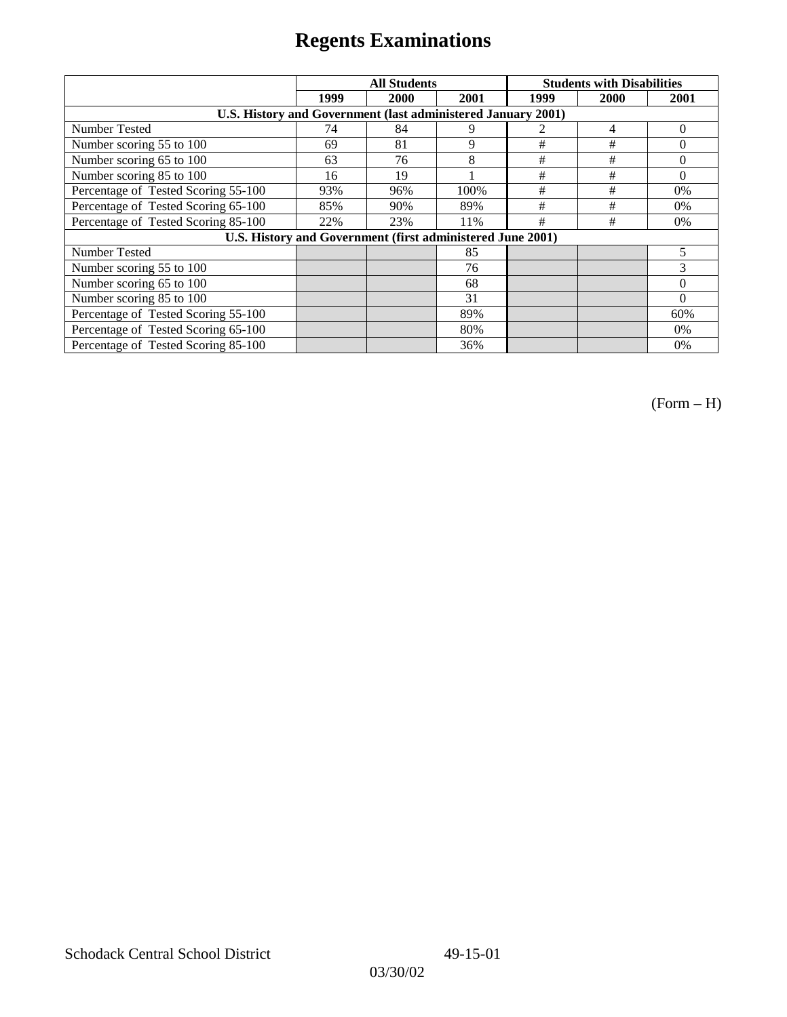|                                                              |      | <b>All Students</b> |      | <b>Students with Disabilities</b> |      |          |
|--------------------------------------------------------------|------|---------------------|------|-----------------------------------|------|----------|
|                                                              | 1999 | 2000                | 2001 | 1999                              | 2000 | 2001     |
| U.S. History and Government (last administered January 2001) |      |                     |      |                                   |      |          |
| Number Tested                                                | 74   | 84                  | 9    |                                   | 4    | $\Omega$ |
| Number scoring 55 to 100                                     | 69   | 81                  | 9    | $\#$                              | #    | $\theta$ |
| Number scoring 65 to 100                                     | 63   | 76                  | 8    | $\#$                              | $\#$ | $\theta$ |
| Number scoring 85 to 100                                     | 16   | 19                  |      | $\#$                              | $\#$ | $\Omega$ |
| Percentage of Tested Scoring 55-100                          | 93%  | 96%                 | 100% | #                                 | #    | 0%       |
| Percentage of Tested Scoring 65-100                          | 85%  | 90%                 | 89%  | #                                 | #    | $0\%$    |
| Percentage of Tested Scoring 85-100                          | 22%  | 23%                 | 11%  | #                                 | #    | $0\%$    |
| U.S. History and Government (first administered June 2001)   |      |                     |      |                                   |      |          |
| Number Tested                                                |      |                     | 85   |                                   |      | 5        |
| Number scoring 55 to 100                                     |      |                     | 76   |                                   |      | 3        |
| Number scoring 65 to 100                                     |      |                     | 68   |                                   |      | $\theta$ |
| Number scoring 85 to 100                                     |      |                     | 31   |                                   |      | $\Omega$ |
| Percentage of Tested Scoring 55-100                          |      |                     | 89%  |                                   |      | 60%      |
| Percentage of Tested Scoring 65-100                          |      |                     | 80%  |                                   |      | 0%       |
| Percentage of Tested Scoring 85-100                          |      |                     | 36%  |                                   |      | 0%       |

(Form – H)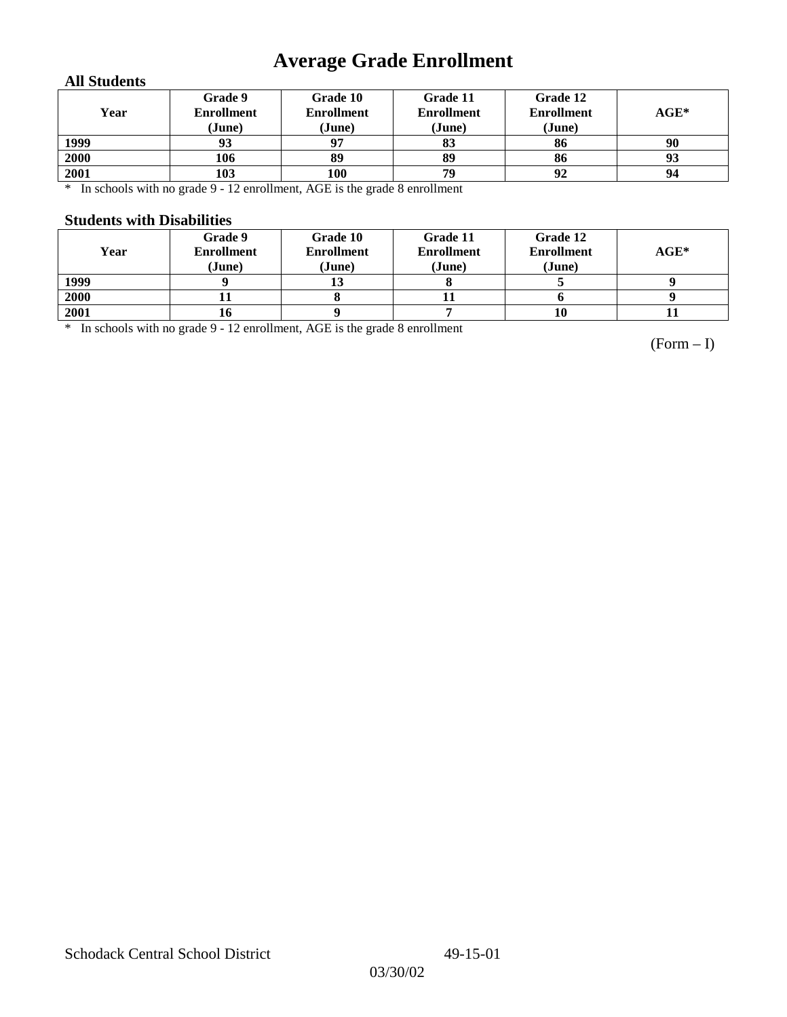# **Average Grade Enrollment**

### **All Students**

| Year | Grade 9<br><b>Enrollment</b><br>(June) | Grade 10<br><b>Enrollment</b><br>(June) | Grade 11<br><b>Enrollment</b><br>(June) | Grade 12<br><b>Enrollment</b><br>(June) | $AGE^*$ |
|------|----------------------------------------|-----------------------------------------|-----------------------------------------|-----------------------------------------|---------|
| 1999 | 93                                     | 07                                      | 83                                      | 86                                      | 90      |
| 2000 | 106                                    | 89                                      | 89                                      | 86                                      | 93      |
| 2001 | 103                                    | 100                                     | 79                                      | 92                                      | 94      |

\* In schools with no grade 9 - 12 enrollment, AGE is the grade 8 enrollment

#### **Students with Disabilities**

| Year | Grade 9<br><b>Enrollment</b><br>(June) | Grade 10<br><b>Enrollment</b><br>(June) | Grade 11<br><b>Enrollment</b><br>(June) | Grade 12<br><b>Enrollment</b><br>(June) | $AGE^*$ |
|------|----------------------------------------|-----------------------------------------|-----------------------------------------|-----------------------------------------|---------|
|      |                                        |                                         |                                         |                                         |         |
| 1999 |                                        |                                         |                                         |                                         |         |
| 2000 |                                        |                                         |                                         |                                         |         |
| 2001 | 10                                     |                                         |                                         | 10                                      |         |

\* In schools with no grade 9 - 12 enrollment, AGE is the grade 8 enrollment

(Form – I)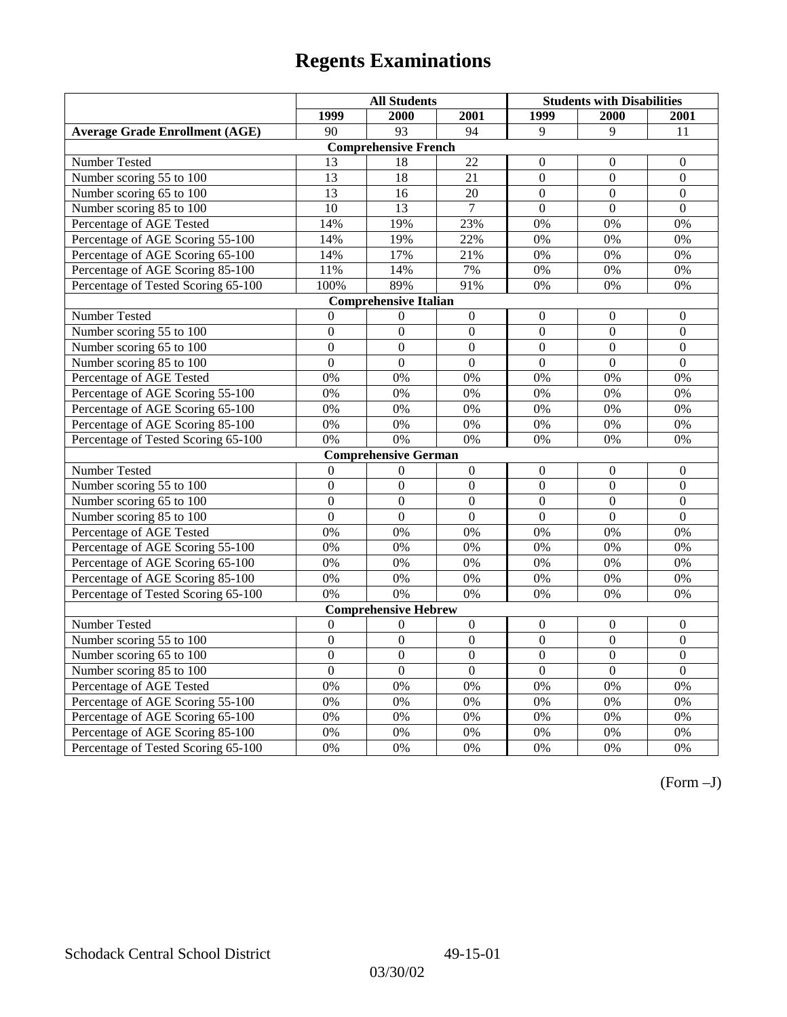|                                       | <b>All Students</b> |                              |                 | <b>Students with Disabilities</b> |                  |                  |
|---------------------------------------|---------------------|------------------------------|-----------------|-----------------------------------|------------------|------------------|
|                                       | 1999                | 2000                         | 2001            | 1999                              | 2000             | 2001             |
| <b>Average Grade Enrollment (AGE)</b> | 90                  | 93                           | 94              | 9                                 | 9                | 11               |
|                                       |                     | <b>Comprehensive French</b>  |                 |                                   |                  |                  |
| Number Tested                         | 13                  | 18                           | $\overline{22}$ | $\Omega$                          | $\boldsymbol{0}$ | $\boldsymbol{0}$ |
| Number scoring 55 to 100              | 13                  | 18                           | 21              | $\overline{0}$                    | $\mathbf{0}$     | $\boldsymbol{0}$ |
| Number scoring 65 to 100              | 13                  | 16                           | 20              | $\overline{0}$                    | $\overline{0}$   | $\mathbf{0}$     |
| Number scoring 85 to 100              | 10                  | 13                           | $\tau$          | $\theta$                          | $\Omega$         | $\Omega$         |
| Percentage of AGE Tested              | 14%                 | 19%                          | 23%             | 0%                                | 0%               | 0%               |
| Percentage of AGE Scoring 55-100      | 14%                 | 19%                          | 22%             | 0%                                | 0%               | 0%               |
| Percentage of AGE Scoring 65-100      | 14%                 | 17%                          | 21%             | 0%                                | 0%               | 0%               |
| Percentage of AGE Scoring 85-100      | 11%                 | 14%                          | 7%              | 0%                                | 0%               | $0\%$            |
| Percentage of Tested Scoring 65-100   | 100%                | 89%                          | 91%             | $\overline{0\%}$                  | 0%               | 0%               |
|                                       |                     | <b>Comprehensive Italian</b> |                 |                                   |                  |                  |
| Number Tested                         | $\theta$            | $\theta$                     | $\mathbf{0}$    | $\overline{0}$                    | $\theta$         | $\overline{0}$   |
| Number scoring 55 to 100              | $\Omega$            | $\boldsymbol{0}$             | $\Omega$        | $\overline{0}$                    | $\Omega$         | $\boldsymbol{0}$ |
| Number scoring 65 to 100              | $\mathbf{0}$        | $\overline{0}$               | $\overline{0}$  | $\overline{0}$                    | $\overline{0}$   | $\mathbf{0}$     |
| Number scoring 85 to 100              | $\overline{0}$      | $\overline{0}$               | $\overline{0}$  | $\overline{0}$                    | $\overline{0}$   | $\overline{0}$   |
| Percentage of AGE Tested              | 0%                  | 0%                           | 0%              | 0%                                | 0%               | 0%               |
| Percentage of AGE Scoring 55-100      | 0%                  | 0%                           | 0%              | 0%                                | 0%               | 0%               |
| Percentage of AGE Scoring 65-100      | 0%                  | 0%                           | 0%              | 0%                                | 0%               | 0%               |
| Percentage of AGE Scoring 85-100      | 0%                  | 0%                           | 0%              | 0%                                | 0%               | 0%               |
| Percentage of Tested Scoring 65-100   | 0%                  | 0%                           | 0%              | 0%                                | 0%               | 0%               |
|                                       |                     | <b>Comprehensive German</b>  |                 |                                   |                  |                  |
| Number Tested                         | $\Omega$            | $\mathbf{0}$                 | $\mathbf{0}$    | $\overline{0}$                    | $\mathbf{0}$     | $\boldsymbol{0}$ |
| Number scoring 55 to 100              | $\mathbf{0}$        | $\mathbf{0}$                 | $\overline{0}$  | $\overline{0}$                    | $\Omega$         | $\mathbf{0}$     |
| Number scoring 65 to 100              | $\mathbf{0}$        | $\mathbf{0}$                 | $\overline{0}$  | $\overline{0}$                    | $\mathbf{0}$     | $\mathbf{0}$     |
| Number scoring 85 to 100              | $\overline{0}$      | $\overline{0}$               | $\overline{0}$  | $\overline{0}$                    | $\mathbf{0}$     | $\mathbf{0}$     |
| Percentage of AGE Tested              | 0%                  | 0%                           | 0%              | 0%                                | 0%               | 0%               |
| Percentage of AGE Scoring 55-100      | 0%                  | 0%                           | 0%              | 0%                                | 0%               | 0%               |
| Percentage of AGE Scoring 65-100      | 0%                  | 0%                           | 0%              | 0%                                | 0%               | 0%               |
| Percentage of AGE Scoring 85-100      | 0%                  | 0%                           | 0%              | 0%                                | 0%               | 0%               |
| Percentage of Tested Scoring 65-100   | 0%                  | 0%                           | 0%              | 0%                                | 0%               | 0%               |
|                                       |                     | <b>Comprehensive Hebrew</b>  |                 |                                   |                  |                  |
| Number Tested                         | $\mathbf{0}$        | $\theta$                     | $\overline{0}$  | $\boldsymbol{0}$                  | $\boldsymbol{0}$ | $\boldsymbol{0}$ |
| Number scoring 55 to 100              | $\overline{0}$      | $\overline{0}$               | $\overline{0}$  | $\overline{0}$                    | $\overline{0}$   | $\overline{0}$   |
| Number scoring 65 to 100              | $\mathbf{0}$        | $\mathbf{0}$                 | $\Omega$        | $\theta$                          | $\Omega$         | $\mathbf{0}$     |
| Number scoring 85 to 100              | $\mathbf{0}$        | $\mathbf{0}$                 | $\overline{0}$  | $\mathbf{0}$                      | $\mathbf{0}$     | $\mathbf{0}$     |
| Percentage of AGE Tested              | 0%                  | 0%                           | 0%              | 0%                                | 0%               | 0%               |
| Percentage of AGE Scoring 55-100      | 0%                  | 0%                           | 0%              | 0%                                | 0%               | 0%               |
| Percentage of AGE Scoring 65-100      | 0%                  | 0%                           | 0%              | $0\%$                             | 0%               | 0%               |
| Percentage of AGE Scoring 85-100      | 0%                  | 0%                           | 0%              | 0%                                | 0%               | 0%               |
| Percentage of Tested Scoring 65-100   | 0%                  | 0%                           | 0%              | 0%                                | 0%               | 0%               |

(Form –J)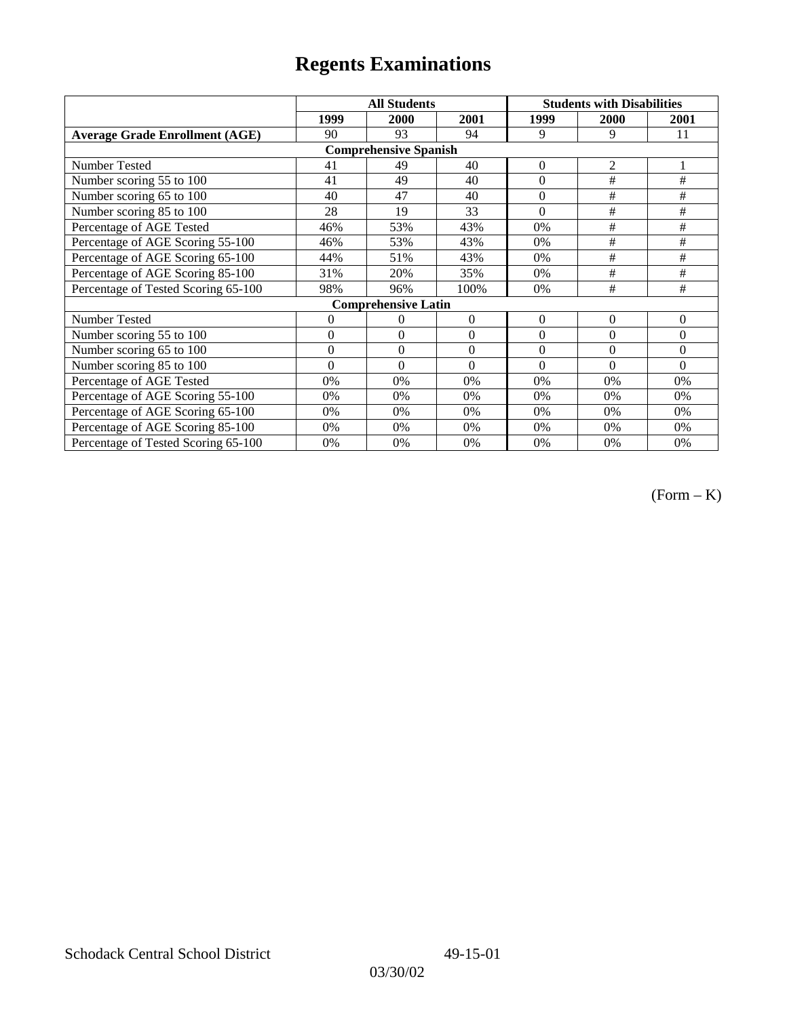|                                       | <b>All Students</b> |                              |          | <b>Students with Disabilities</b> |                |                |
|---------------------------------------|---------------------|------------------------------|----------|-----------------------------------|----------------|----------------|
|                                       | 1999                | 2000                         | 2001     | 1999                              | 2000           | 2001           |
| <b>Average Grade Enrollment (AGE)</b> | 90                  | 93                           | 94       | 9                                 | 9              | 11             |
|                                       |                     | <b>Comprehensive Spanish</b> |          |                                   |                |                |
| Number Tested                         | 41                  | 49                           | 40       | $\Omega$                          | $\overline{2}$ |                |
| Number scoring 55 to 100              | 41                  | 49                           | 40       | $\overline{0}$                    | $\#$           | #              |
| Number scoring 65 to 100              | 40                  | 47                           | 40       | $\theta$                          | #              | $\#$           |
| Number scoring 85 to 100              | 28                  | 19                           | 33       | $\theta$                          | #              | #              |
| Percentage of AGE Tested              | 46%                 | 53%                          | 43%      | 0%                                | #              | #              |
| Percentage of AGE Scoring 55-100      | 46%                 | 53%                          | 43%      | 0%                                | #              | #              |
| Percentage of AGE Scoring 65-100      | 44%                 | 51%                          | 43%      | 0%                                | #              | #              |
| Percentage of AGE Scoring 85-100      | 31%                 | 20%                          | 35%      | 0%                                | #              | #              |
| Percentage of Tested Scoring 65-100   | 98%                 | 96%                          | 100%     | 0%                                | #              | #              |
|                                       |                     | <b>Comprehensive Latin</b>   |          |                                   |                |                |
| Number Tested                         | 0                   | $\theta$                     | $\Omega$ | $\theta$                          | $\overline{0}$ | $\overline{0}$ |
| Number scoring 55 to 100              | $\overline{0}$      | $\theta$                     | $\Omega$ | $\Omega$                          | $\theta$       | $\theta$       |
| Number scoring $65$ to $100$          | $\mathbf{0}$        | $\theta$                     | $\Omega$ | $\theta$                          | $\theta$       | $\theta$       |
| Number scoring 85 to 100              | $\theta$            | $\theta$                     | $\Omega$ | $\Omega$                          | $\theta$       | $\Omega$       |
| Percentage of AGE Tested              | 0%                  | 0%                           | $0\%$    | 0%                                | 0%             | 0%             |
| Percentage of AGE Scoring 55-100      | 0%                  | 0%                           | 0%       | 0%                                | 0%             | 0%             |
| Percentage of AGE Scoring 65-100      | 0%                  | 0%                           | 0%       | 0%                                | 0%             | 0%             |
| Percentage of AGE Scoring 85-100      | 0%                  | 0%                           | 0%       | $0\%$                             | 0%             | 0%             |
| Percentage of Tested Scoring 65-100   | 0%                  | 0%                           | 0%       | 0%                                | 0%             | 0%             |

(Form – K)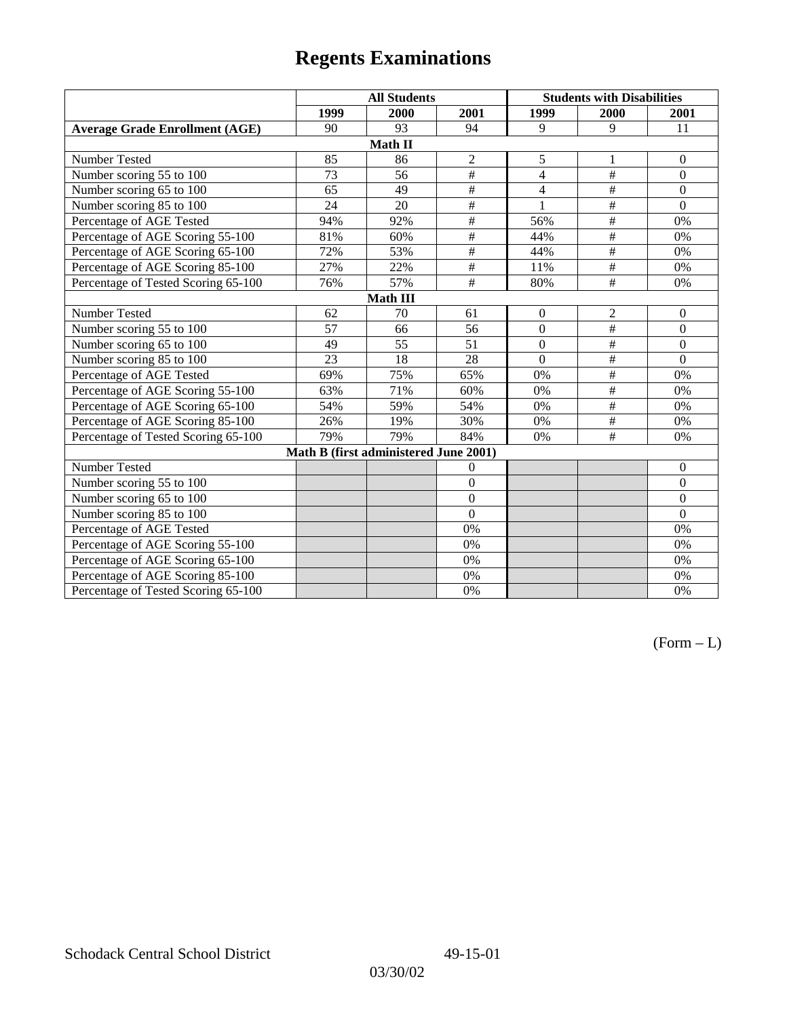|                                       | <b>All Students</b> |                                       |                  | <b>Students with Disabilities</b> |                          |                  |  |  |
|---------------------------------------|---------------------|---------------------------------------|------------------|-----------------------------------|--------------------------|------------------|--|--|
|                                       | 1999                | 2000                                  | 2001             | 1999                              | 2000                     | 2001             |  |  |
| <b>Average Grade Enrollment (AGE)</b> | 90                  | 93                                    | 94               | 9                                 | 9                        | 11               |  |  |
|                                       |                     | Math II                               |                  |                                   |                          |                  |  |  |
| Number Tested                         | 85                  | 86                                    | $\overline{2}$   | 5                                 | 1                        | $\boldsymbol{0}$ |  |  |
| Number scoring 55 to 100              | $\overline{73}$     | 56                                    | #                | $\overline{4}$                    | $\#$                     | $\overline{0}$   |  |  |
| Number scoring 65 to 100              | 65                  | 49                                    | $\#$             | $\overline{4}$                    | $\#$                     | $\overline{0}$   |  |  |
| Number scoring 85 to 100              | 24                  | $\overline{20}$                       | $\overline{\#}$  | $\mathbf{1}$                      | $\overline{+}$           | $\overline{0}$   |  |  |
| Percentage of AGE Tested              | 94%                 | 92%                                   | $\overline{\#}$  | 56%                               | #                        | 0%               |  |  |
| Percentage of AGE Scoring 55-100      | 81%                 | 60%                                   | $\overline{\#}$  | 44%                               | $\overline{\overline{}}$ | 0%               |  |  |
| Percentage of AGE Scoring 65-100      | 72%                 | 53%                                   | $\#$             | 44%                               | $\overline{\overline{}}$ | 0%               |  |  |
| Percentage of AGE Scoring 85-100      | 27%                 | 22%                                   | $\overline{\#}$  | 11%                               | #                        | 0%               |  |  |
| Percentage of Tested Scoring 65-100   | 76%                 | 57%                                   | $\overline{\#}$  | 80%                               | $\overline{+}$           | 0%               |  |  |
| <b>Math III</b>                       |                     |                                       |                  |                                   |                          |                  |  |  |
| Number Tested                         | 62                  | 70                                    | 61               | $\theta$                          | $\overline{2}$           | $\mathbf{0}$     |  |  |
| Number scoring 55 to 100              | $\overline{57}$     | 66                                    | 56               | $\overline{0}$                    | #                        | $\overline{0}$   |  |  |
| Number scoring 65 to 100              | 49                  | 55                                    | 51               | $\theta$                          | $\#$                     | $\overline{0}$   |  |  |
| Number scoring 85 to 100              | 23                  | 18                                    | 28               | $\theta$                          | $\overline{\overline{}}$ | $\Omega$         |  |  |
| Percentage of AGE Tested              | 69%                 | 75%                                   | 65%              | 0%                                | $\#$                     | 0%               |  |  |
| Percentage of AGE Scoring 55-100      | 63%                 | 71%                                   | 60%              | 0%                                | #                        | 0%               |  |  |
| Percentage of AGE Scoring 65-100      | 54%                 | 59%                                   | 54%              | 0%                                | $\overline{\overline{}}$ | 0%               |  |  |
| Percentage of AGE Scoring 85-100      | 26%                 | 19%                                   | 30%              | 0%                                | $\overline{\overline{}}$ | 0%               |  |  |
| Percentage of Tested Scoring 65-100   | 79%                 | 79%                                   | 84%              | 0%                                | #                        | 0%               |  |  |
|                                       |                     | Math B (first administered June 2001) |                  |                                   |                          |                  |  |  |
| Number Tested                         |                     |                                       | $\theta$         |                                   |                          | $\mathbf{0}$     |  |  |
| Number scoring 55 to 100              |                     |                                       | $\theta$         |                                   |                          | $\Omega$         |  |  |
| Number scoring 65 to 100              |                     |                                       | $\boldsymbol{0}$ |                                   |                          | $\overline{0}$   |  |  |
| Number scoring 85 to 100              |                     |                                       | $\overline{0}$   |                                   |                          | $\theta$         |  |  |
| Percentage of AGE Tested              |                     |                                       | 0%               |                                   |                          | 0%               |  |  |
| Percentage of AGE Scoring 55-100      |                     |                                       | 0%               |                                   |                          | 0%               |  |  |
| Percentage of AGE Scoring 65-100      |                     |                                       | 0%               |                                   |                          | 0%               |  |  |
| Percentage of AGE Scoring 85-100      |                     |                                       | 0%               |                                   |                          | 0%               |  |  |
| Percentage of Tested Scoring 65-100   |                     |                                       | 0%               |                                   |                          | 0%               |  |  |

 $(Form - L)$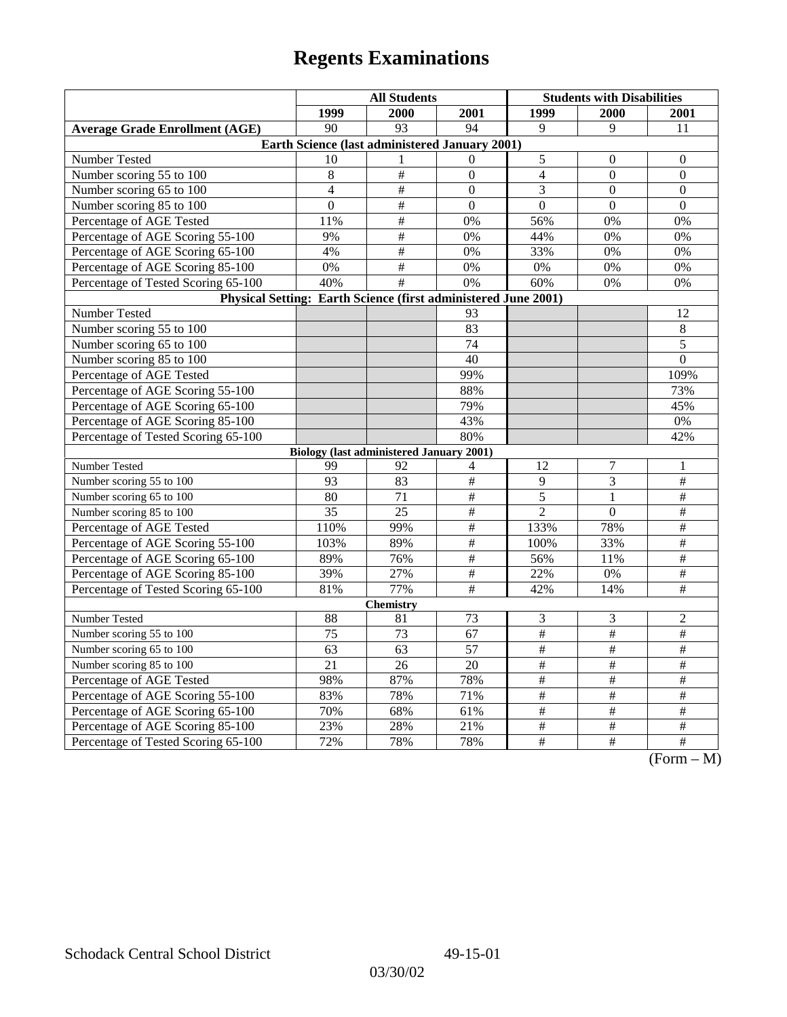|                                                                | <b>All Students</b> |                                                 |                         | <b>Students with Disabilities</b> |                  |                                            |  |  |
|----------------------------------------------------------------|---------------------|-------------------------------------------------|-------------------------|-----------------------------------|------------------|--------------------------------------------|--|--|
|                                                                | 1999                | 2000                                            | 2001                    | 1999                              | <b>2000</b>      | 2001                                       |  |  |
| <b>Average Grade Enrollment (AGE)</b>                          | 90                  | 93                                              | 94                      | $\mathbf{Q}$                      | 9                | 11                                         |  |  |
| Earth Science (last administered January 2001)                 |                     |                                                 |                         |                                   |                  |                                            |  |  |
| Number Tested                                                  | 10                  | 1                                               | $\Omega$                | 5                                 | $\boldsymbol{0}$ | $\boldsymbol{0}$                           |  |  |
| Number scoring 55 to 100                                       | 8                   | $\#$                                            | $\boldsymbol{0}$        | $\overline{4}$                    | $\overline{0}$   | $\boldsymbol{0}$                           |  |  |
| Number scoring 65 to 100                                       | $\overline{4}$      | $\#$                                            | $\Omega$                | 3                                 | $\theta$         | $\theta$                                   |  |  |
| Number scoring 85 to 100                                       | $\mathbf{0}$        | $\overline{\#}$                                 | $\overline{0}$          | $\overline{0}$                    | $\mathbf{0}$     | $\mathbf{0}$                               |  |  |
| Percentage of AGE Tested                                       | 11%                 | #                                               | 0%                      | 56%                               | 0%               | 0%                                         |  |  |
| Percentage of AGE Scoring 55-100                               | 9%                  | $\#$                                            | 0%                      | 44%                               | 0%               | 0%                                         |  |  |
| Percentage of AGE Scoring 65-100                               | 4%                  | $\#$                                            | 0%                      | 33%                               | 0%               | 0%                                         |  |  |
| Percentage of AGE Scoring 85-100                               | 0%                  | $\overline{\#}$                                 | 0%                      | 0%                                | $0\%$            | 0%                                         |  |  |
| Percentage of Tested Scoring 65-100                            | 40%                 | $\overline{+}$                                  | 0%                      | 60%                               | 0%               | 0%                                         |  |  |
| Physical Setting: Earth Science (first administered June 2001) |                     |                                                 |                         |                                   |                  |                                            |  |  |
| Number Tested                                                  |                     |                                                 | 93                      |                                   |                  | 12                                         |  |  |
| Number scoring 55 to 100                                       |                     |                                                 | 83                      |                                   |                  | $8\,$                                      |  |  |
| Number scoring 65 to 100                                       |                     |                                                 | $\overline{74}$         |                                   |                  | 5                                          |  |  |
| Number scoring 85 to 100                                       |                     |                                                 | 40                      |                                   |                  | $\boldsymbol{0}$                           |  |  |
| Percentage of AGE Tested                                       |                     |                                                 | 99%                     |                                   |                  | 109%                                       |  |  |
| Percentage of AGE Scoring 55-100                               |                     |                                                 | 88%                     |                                   |                  | 73%                                        |  |  |
| Percentage of AGE Scoring 65-100                               |                     |                                                 | 79%                     |                                   |                  | 45%                                        |  |  |
| Percentage of AGE Scoring 85-100                               |                     |                                                 | 43%                     |                                   |                  | 0%                                         |  |  |
| Percentage of Tested Scoring 65-100                            |                     |                                                 | 80%                     |                                   |                  | 42%                                        |  |  |
|                                                                |                     | <b>Biology (last administered January 2001)</b> |                         |                                   |                  |                                            |  |  |
| Number Tested                                                  | 99                  | 92                                              | 4                       | 12                                | $\boldsymbol{7}$ | 1                                          |  |  |
| Number scoring 55 to 100                                       | 93                  | 83                                              | #                       | 9                                 | 3                | $\#$                                       |  |  |
| Number scoring 65 to 100                                       | 80                  | 71                                              | $\#$                    | 5                                 | $\mathbf{1}$     | $\#$                                       |  |  |
| Number scoring 85 to 100                                       | 35                  | $\overline{25}$                                 | $\overline{\ddot{\pi}}$ | $\overline{2}$                    | $\theta$         | $\overline{\ddot{}}$                       |  |  |
| Percentage of AGE Tested                                       | 110%                | 99%                                             | $\overline{\ddot{\pi}}$ | 133%                              | 78%              | $\overline{\#}$                            |  |  |
| Percentage of AGE Scoring 55-100                               | 103%                | 89%                                             | #                       | 100%                              | 33%              | $\overline{\#}$                            |  |  |
| Percentage of AGE Scoring 65-100                               | 89%                 | 76%                                             | $\#$                    | 56%                               | 11%              | $\#$                                       |  |  |
| Percentage of AGE Scoring 85-100                               | 39%                 | 27%                                             | $\#$                    | 22%                               | 0%               | $\#$                                       |  |  |
| Percentage of Tested Scoring 65-100                            | 81%                 | 77%                                             | #                       | 42%                               | 14%              | $\overline{\#}$                            |  |  |
| <b>Chemistry</b>                                               |                     |                                                 |                         |                                   |                  |                                            |  |  |
| Number Tested                                                  | 88                  | 81                                              | 73                      | 3                                 | 3                | 2                                          |  |  |
| Number scoring 55 to 100                                       | 75                  | 73                                              | 67                      | $\overline{\#}$                   | $\overline{\#}$  | $\#$                                       |  |  |
| Number scoring 65 to 100                                       | 63                  | 63                                              | $\overline{57}$         | $\overline{\#}$                   | $\overline{\#}$  | $\overline{\#}$                            |  |  |
| Number scoring 85 to 100                                       | 21                  | 26                                              | 20                      | $\#$                              | $\#$             | $\#$                                       |  |  |
| Percentage of AGE Tested                                       | 98%                 | 87%                                             | 78%                     | $\#$                              | $\#$             | $\#$                                       |  |  |
| Percentage of AGE Scoring 55-100                               | 83%                 | 78%                                             | 71%                     | $\#$                              | #                | #                                          |  |  |
| Percentage of AGE Scoring 65-100                               | 70%                 | 68%                                             | 61%                     | $\overline{\#}$                   | $\overline{\#}$  | $\overline{\#}$                            |  |  |
| Percentage of AGE Scoring 85-100                               | 23%                 | 28%                                             | 21%                     | $\frac{1}{2}$                     | $\frac{1}{2}$    | $\overline{\#}$                            |  |  |
| Percentage of Tested Scoring 65-100                            | 72%                 | 78%                                             | 78%                     | $\#$                              | $\overline{+}$   | $\overline{+}$<br>$\Gamma$<br>$\mathbf{M}$ |  |  |

(Form – M)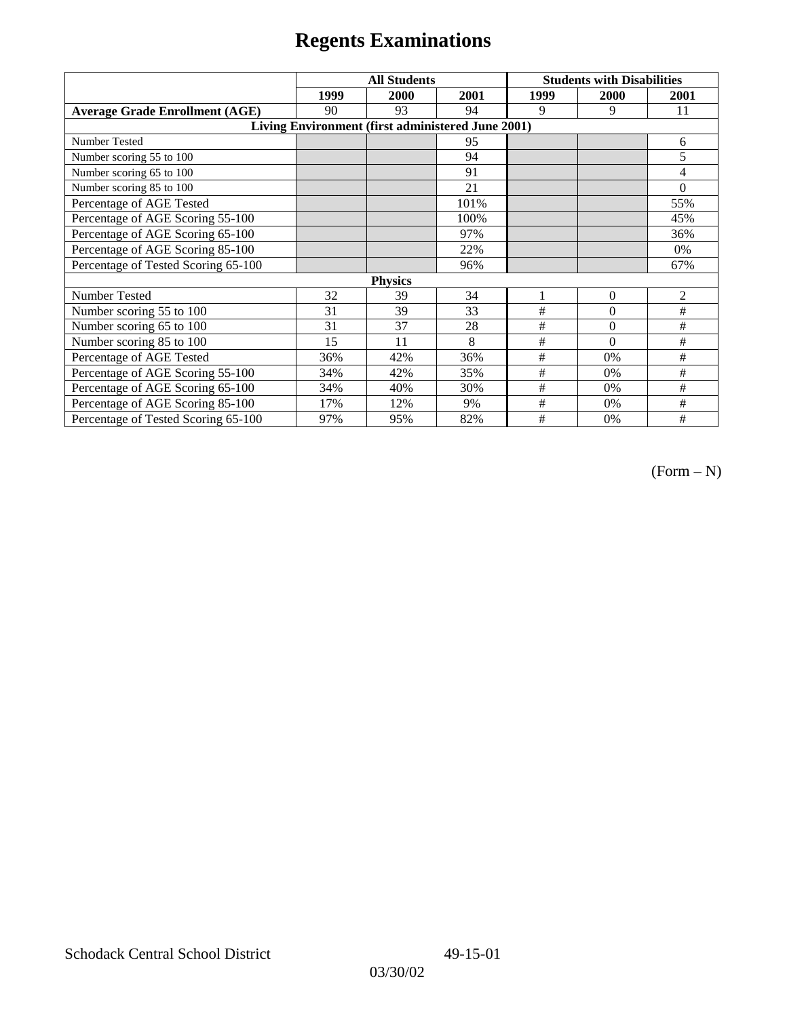|                                                   | <b>All Students</b> |      |      | <b>Students with Disabilities</b> |                |                |  |  |
|---------------------------------------------------|---------------------|------|------|-----------------------------------|----------------|----------------|--|--|
|                                                   | 1999                | 2000 | 2001 | 1999                              | 2000           | 2001           |  |  |
| <b>Average Grade Enrollment (AGE)</b>             | 90                  | 93   | 94   | 9                                 | 9              | 11             |  |  |
| Living Environment (first administered June 2001) |                     |      |      |                                   |                |                |  |  |
| <b>Number Tested</b>                              |                     |      | 95   |                                   |                | 6              |  |  |
| Number scoring 55 to 100                          |                     |      | 94   |                                   |                | 5              |  |  |
| Number scoring 65 to 100                          |                     |      | 91   |                                   |                | 4              |  |  |
| Number scoring 85 to 100                          |                     |      | 21   |                                   |                | $\Omega$       |  |  |
| Percentage of AGE Tested                          |                     |      | 101% |                                   |                | 55%            |  |  |
| Percentage of AGE Scoring 55-100                  |                     |      | 100% |                                   |                | 45%            |  |  |
| Percentage of AGE Scoring 65-100                  |                     |      | 97%  |                                   |                | 36%            |  |  |
| Percentage of AGE Scoring 85-100                  |                     |      | 22%  |                                   |                | 0%             |  |  |
| Percentage of Tested Scoring 65-100               |                     |      | 96%  |                                   |                | 67%            |  |  |
| <b>Physics</b>                                    |                     |      |      |                                   |                |                |  |  |
| Number Tested                                     | 32                  | 39   | 34   |                                   | $\overline{0}$ | $\overline{2}$ |  |  |
| Number scoring 55 to 100                          | 31                  | 39   | 33   | #                                 | $\theta$       | #              |  |  |
| Number scoring 65 to 100                          | 31                  | 37   | 28   | #                                 | $\theta$       | #              |  |  |
| Number scoring 85 to 100                          | 15                  | 11   | 8    | #                                 | $\Omega$       | #              |  |  |
| Percentage of AGE Tested                          | 36%                 | 42%  | 36%  | #                                 | 0%             | #              |  |  |
| Percentage of AGE Scoring 55-100                  | 34%                 | 42%  | 35%  | $\#$                              | 0%             | #              |  |  |
| Percentage of AGE Scoring 65-100                  | 34%                 | 40%  | 30%  | #                                 | 0%             | #              |  |  |
| Percentage of AGE Scoring 85-100                  | 17%                 | 12%  | 9%   | #                                 | $0\%$          | #              |  |  |
| Percentage of Tested Scoring 65-100               | 97%                 | 95%  | 82%  | #                                 | 0%             | #              |  |  |

 $(Form - N)$